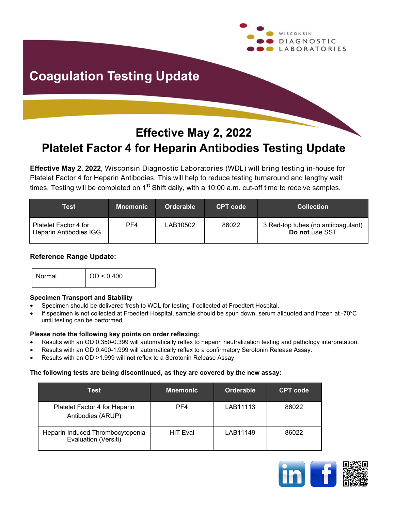

## **Coagulation Testing Update**

### **Effective May 2, 2022 Platelet Factor 4 for Heparin Antibodies Testing Update**

**Effective May 2, 2022**, Wisconsin Diagnostic Laboratories (WDL) will bring testing in-house for Platelet Factor 4 for Heparin Antibodies. This will help to reduce testing turnaround and lengthy wait times. Testing will be completed on  $1<sup>st</sup>$  Shift daily, with a 10:00 a.m. cut-off time to receive samples.

| Test                                            | <b>Mnemonic</b> | Orderable | <b>CPT</b> code | <b>Collection</b>                                    |
|-------------------------------------------------|-----------------|-----------|-----------------|------------------------------------------------------|
| Platelet Factor 4 for<br>Heparin Antibodies IGG | PF4             | LAB10502  | 86022           | 3 Red-top tubes (no anticoagulant)<br>Do not use SST |

#### **Reference Range Update:**

|  |  | Normal | $\vert$ OD < 0.400 |
|--|--|--------|--------------------|
|--|--|--------|--------------------|

#### **Specimen Transport and Stability**

- Specimen should be delivered fresh to WDL for testing if collected at Froedtert Hospital.
- If specimen is not collected at Froedtert Hospital, sample should be spun down, serum aliquoted and frozen at -70 $^{\circ}$ C until testing can be performed.

#### **Please note the following key points on order reflexing:**

- Results with an OD 0.350-0.399 will automatically reflex to heparin neutralization testing and pathology interpretation.
- Results with an OD 0.400-1.999 will automatically reflex to a confirmatory Serotonin Release Assay.
- Results with an OD >1.999 will **not** reflex to a Serotonin Release Assay.

#### **The following tests are being discontinued, as they are covered by the new assay:**

| Test                                                     | <b>Mnemonic</b> | Orderable | <b>CPT</b> code |
|----------------------------------------------------------|-----------------|-----------|-----------------|
| Platelet Factor 4 for Heparin<br>Antibodies (ARUP)       | PF4             | LAB11113  | 86022           |
| Heparin Induced Thrombocytopenia<br>Evaluation (Versiti) | <b>HIT Eval</b> | LAB11149  | 86022           |